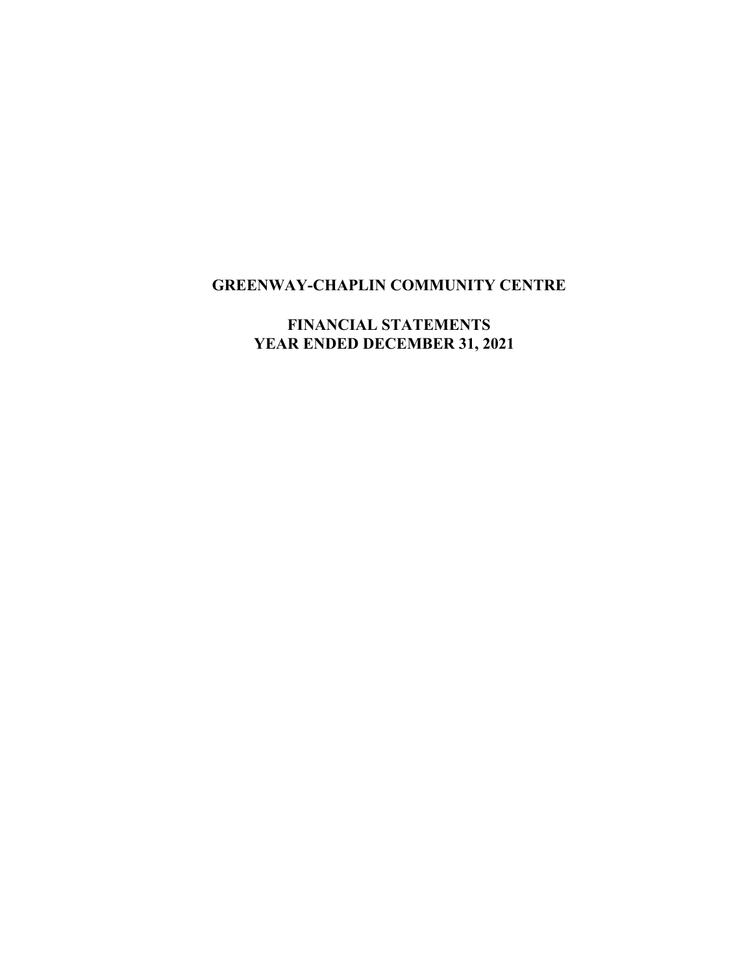## **FINANCIAL STATEMENTS YEAR ENDED DECEMBER 31, 2021**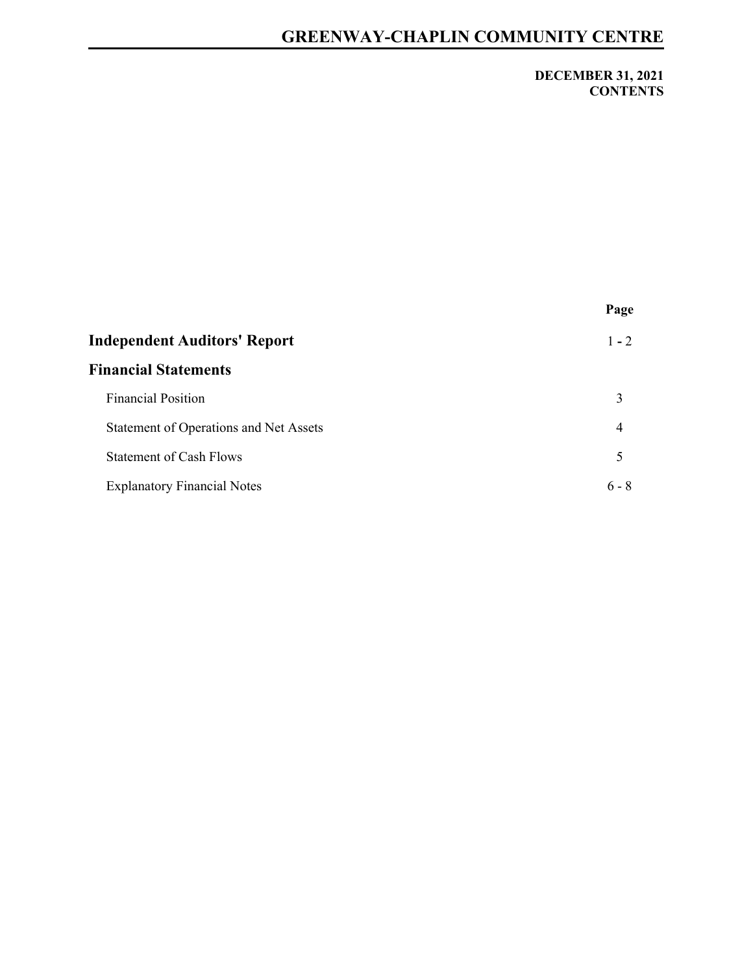## **DECEMBER 31, 2021 CONTENTS**

|                                        | Page    |
|----------------------------------------|---------|
| <b>Independent Auditors' Report</b>    | $1 - 2$ |
| <b>Financial Statements</b>            |         |
| <b>Financial Position</b>              | 3       |
| Statement of Operations and Net Assets | 4       |
| <b>Statement of Cash Flows</b>         | 5       |
| <b>Explanatory Financial Notes</b>     | $6 - 8$ |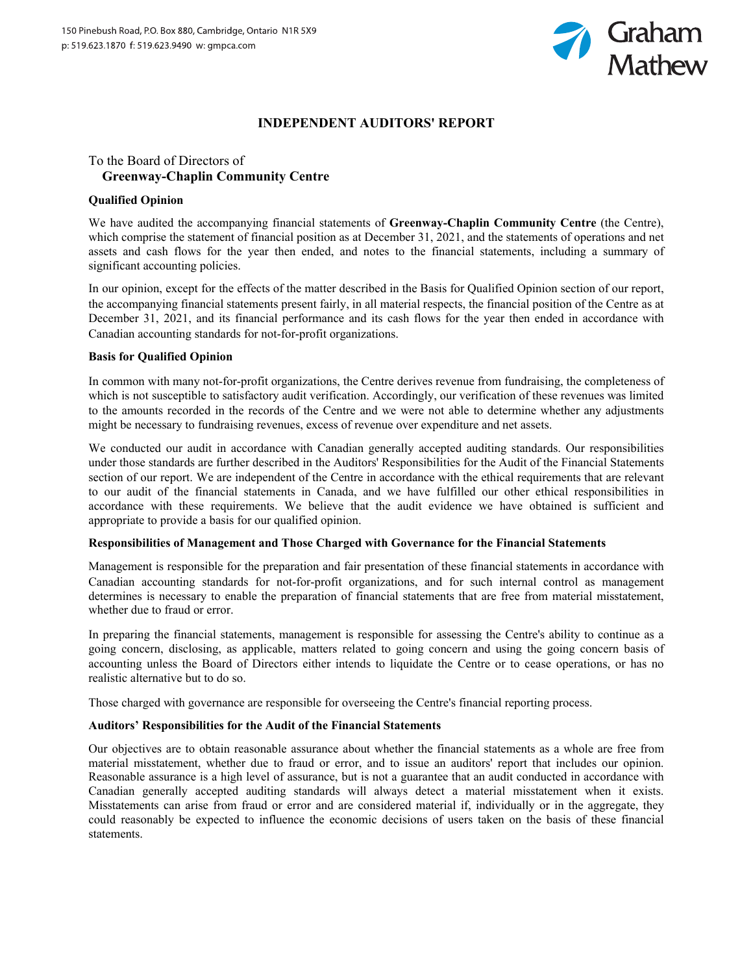

## **INDEPENDENT AUDITORS' REPORT**

## To the Board of Directors of **Greenway-Chaplin Community Centre**

#### **Qualified Opinion**

We have audited the accompanying financial statements of **Greenway-Chaplin Community Centre** (the Centre), which comprise the statement of financial position as at December 31, 2021, and the statements of operations and net assets and cash flows for the year then ended, and notes to the financial statements, including a summary of significant accounting policies.

In our opinion, except for the effects of the matter described in the Basis for Qualified Opinion section of our report, the accompanying financial statements present fairly, in all material respects, the financial position of the Centre as at December 31, 2021, and its financial performance and its cash flows for the year then ended in accordance with Canadian accounting standards for not-for-profit organizations.

#### **Basis for Qualified Opinion**

In common with many not-for-profit organizations, the Centre derives revenue from fundraising, the completeness of which is not susceptible to satisfactory audit verification. Accordingly, our verification of these revenues was limited to the amounts recorded in the records of the Centre and we were not able to determine whether any adjustments might be necessary to fundraising revenues, excess of revenue over expenditure and net assets.

We conducted our audit in accordance with Canadian generally accepted auditing standards. Our responsibilities under those standards are further described in the Auditors' Responsibilities for the Audit of the Financial Statements section of our report. We are independent of the Centre in accordance with the ethical requirements that are relevant to our audit of the financial statements in Canada, and we have fulfilled our other ethical responsibilities in accordance with these requirements. We believe that the audit evidence we have obtained is sufficient and appropriate to provide a basis for our qualified opinion.

#### **Responsibilities of Management and Those Charged with Governance for the Financial Statements**

Management is responsible for the preparation and fair presentation of these financial statements in accordance with Canadian accounting standards for not-for-profit organizations, and for such internal control as management determines is necessary to enable the preparation of financial statements that are free from material misstatement, whether due to fraud or error.

In preparing the financial statements, management is responsible for assessing the Centre's ability to continue as a going concern, disclosing, as applicable, matters related to going concern and using the going concern basis of accounting unless the Board of Directors either intends to liquidate the Centre or to cease operations, or has no realistic alternative but to do so.

Those charged with governance are responsible for overseeing the Centre's financial reporting process.

#### **Auditors' Responsibilities for the Audit of the Financial Statements**

Our objectives are to obtain reasonable assurance about whether the financial statements as a whole are free from material misstatement, whether due to fraud or error, and to issue an auditors' report that includes our opinion. Reasonable assurance is a high level of assurance, but is not a guarantee that an audit conducted in accordance with Canadian generally accepted auditing standards will always detect a material misstatement when it exists. Misstatements can arise from fraud or error and are considered material if, individually or in the aggregate, they could reasonably be expected to influence the economic decisions of users taken on the basis of these financial statements.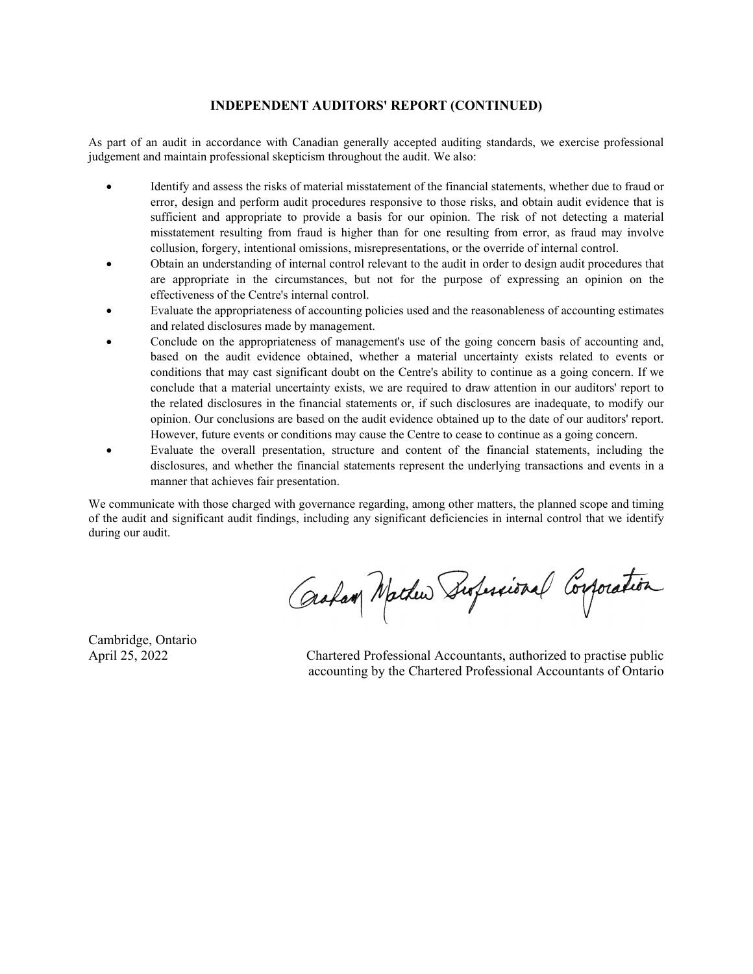#### **INDEPENDENT AUDITORS' REPORT (CONTINUED)**

As part of an audit in accordance with Canadian generally accepted auditing standards, we exercise professional judgement and maintain professional skepticism throughout the audit. We also:

- Identify and assess the risks of material misstatement of the financial statements, whether due to fraud or error, design and perform audit procedures responsive to those risks, and obtain audit evidence that is sufficient and appropriate to provide a basis for our opinion. The risk of not detecting a material misstatement resulting from fraud is higher than for one resulting from error, as fraud may involve collusion, forgery, intentional omissions, misrepresentations, or the override of internal control.
- Obtain an understanding of internal control relevant to the audit in order to design audit procedures that are appropriate in the circumstances, but not for the purpose of expressing an opinion on the effectiveness of the Centre's internal control.
- Evaluate the appropriateness of accounting policies used and the reasonableness of accounting estimates and related disclosures made by management.
- Conclude on the appropriateness of management's use of the going concern basis of accounting and, based on the audit evidence obtained, whether a material uncertainty exists related to events or conditions that may cast significant doubt on the Centre's ability to continue as a going concern. If we conclude that a material uncertainty exists, we are required to draw attention in our auditors' report to the related disclosures in the financial statements or, if such disclosures are inadequate, to modify our opinion. Our conclusions are based on the audit evidence obtained up to the date of our auditors' report. However, future events or conditions may cause the Centre to cease to continue as a going concern.
- Evaluate the overall presentation, structure and content of the financial statements, including the disclosures, and whether the financial statements represent the underlying transactions and events in a manner that achieves fair presentation.

We communicate with those charged with governance regarding, among other matters, the planned scope and timing of the audit and significant audit findings, including any significant deficiencies in internal control that we identify during our audit.

Graham Nather Berfessional Corporation

Cambridge, Ontario

April 25, 2022 Chartered Professional Accountants, authorized to practise public accounting by the Chartered Professional Accountants of Ontario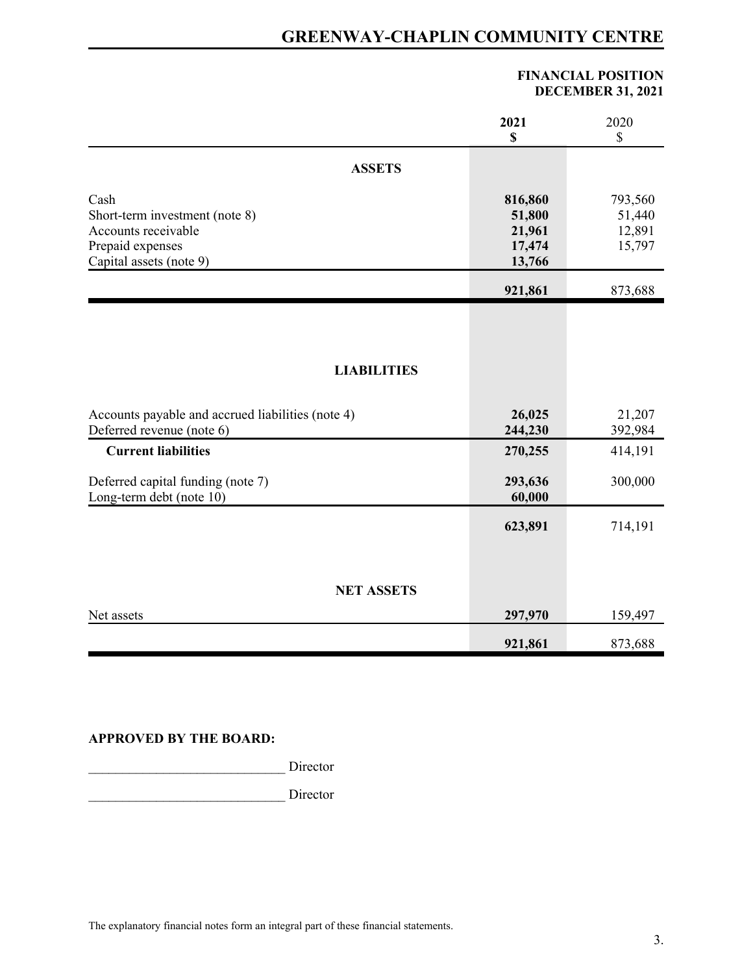## **FINANCIAL POSITION DECEMBER 31, 2021**

|                                                                                | 2021<br>$\mathbb S$ | 2020<br>\$        |
|--------------------------------------------------------------------------------|---------------------|-------------------|
| <b>ASSETS</b>                                                                  |                     |                   |
|                                                                                |                     |                   |
| Cash                                                                           | 816,860             | 793,560           |
| Short-term investment (note 8)                                                 | 51,800              | 51,440            |
| Accounts receivable                                                            | 21,961              | 12,891            |
| Prepaid expenses                                                               | 17,474              | 15,797            |
| Capital assets (note 9)                                                        | 13,766              |                   |
|                                                                                | 921,861             | 873,688           |
|                                                                                |                     |                   |
|                                                                                |                     |                   |
| <b>LIABILITIES</b>                                                             |                     |                   |
|                                                                                |                     |                   |
| Accounts payable and accrued liabilities (note 4)<br>Deferred revenue (note 6) | 26,025<br>244,230   | 21,207<br>392,984 |
| <b>Current liabilities</b>                                                     | 270,255             | 414,191           |
| Deferred capital funding (note 7)                                              | 293,636             | 300,000           |
| Long-term debt (note 10)                                                       | 60,000              |                   |
|                                                                                | 623,891             | 714,191           |
|                                                                                |                     |                   |
|                                                                                |                     |                   |
| <b>NET ASSETS</b>                                                              |                     |                   |
| Net assets                                                                     | 297,970             | 159,497           |
|                                                                                | 921,861             | 873,688           |

## **APPROVED BY THE BOARD:**

Director

Director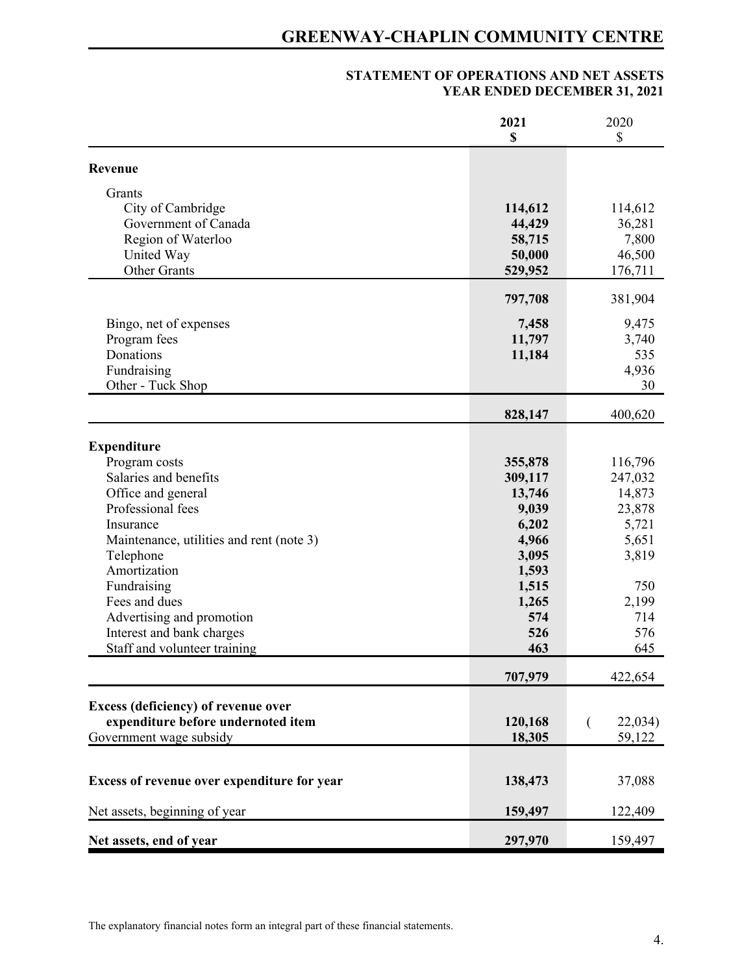## **STATEMENT OF OPERATIONS AND NET ASSETS YEAR ENDED DECEMBER 31, 2021**

|                                             | 2021<br>\$   | 2020<br>\$   |
|---------------------------------------------|--------------|--------------|
|                                             |              |              |
| Revenue                                     |              |              |
| Grants                                      |              |              |
| City of Cambridge                           | 114,612      | 114,612      |
| Government of Canada                        | 44,429       | 36,281       |
| Region of Waterloo                          | 58,715       | 7,800        |
| United Way                                  | 50,000       | 46,500       |
| <b>Other Grants</b>                         | 529,952      | 176,711      |
|                                             | 797,708      | 381,904      |
| Bingo, net of expenses                      | 7,458        | 9,475        |
| Program fees                                | 11,797       | 3,740        |
| Donations                                   | 11,184       | 535          |
| Fundraising                                 |              | 4,936        |
| Other - Tuck Shop                           |              | 30           |
|                                             | 828,147      | 400,620      |
|                                             |              |              |
| <b>Expenditure</b>                          |              |              |
| Program costs                               | 355,878      | 116,796      |
| Salaries and benefits                       | 309,117      | 247,032      |
| Office and general                          | 13,746       | 14,873       |
| Professional fees                           | 9,039        | 23,878       |
| Insurance                                   | 6,202        | 5,721        |
| Maintenance, utilities and rent (note 3)    | 4,966        | 5,651        |
| Telephone                                   | 3,095        | 3,819        |
| Amortization                                | 1,593        | 750          |
| Fundraising<br>Fees and dues                | 1,515        |              |
| Advertising and promotion                   | 1,265<br>574 | 2,199<br>714 |
| Interest and bank charges                   | 526          | 576          |
| Staff and volunteer training                | 463          | 645          |
|                                             | 707,979      | 422,654      |
|                                             |              |              |
| <b>Excess (deficiency) of revenue over</b>  |              |              |
| expenditure before undernoted item          | 120,168      | 22,034       |
| Government wage subsidy                     | 18,305       | 59,122       |
|                                             |              |              |
| Excess of revenue over expenditure for year | 138,473      | 37,088       |
| Net assets, beginning of year               | 159,497      | 122,409      |
| Net assets, end of year                     | 297,970      | 159,497      |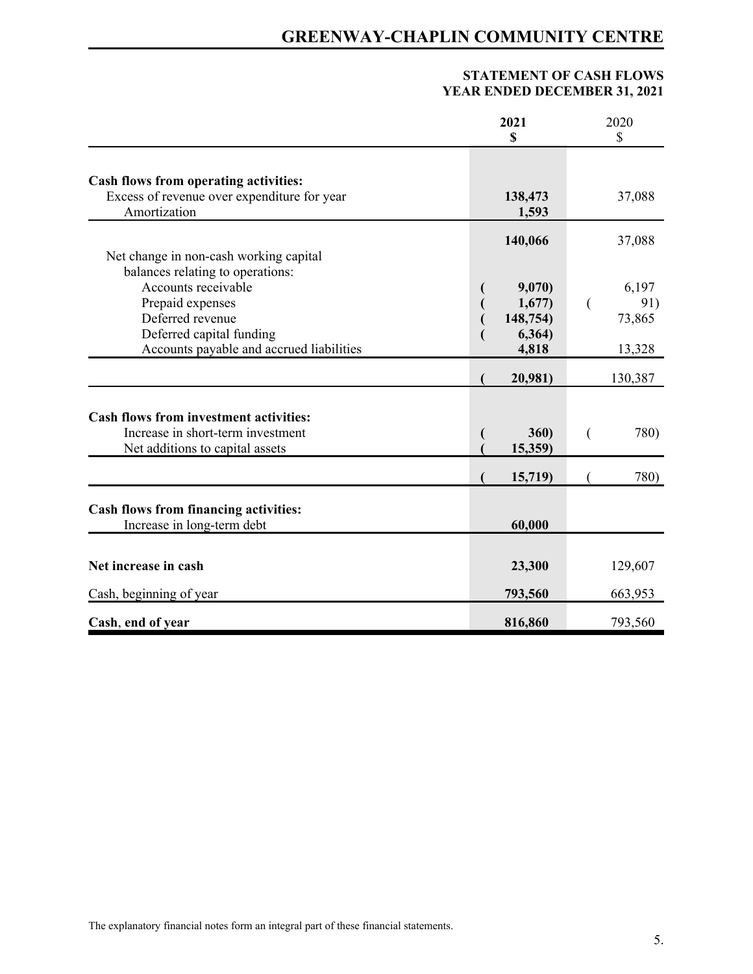## **STATEMENT OF CASH FLOWS YEAR ENDED DECEMBER 31, 2021**

|                                                                                                                       | 2021<br>\$                  | 2020<br>$\mathcal{S}$  |
|-----------------------------------------------------------------------------------------------------------------------|-----------------------------|------------------------|
|                                                                                                                       |                             |                        |
| Cash flows from operating activities:<br>Excess of revenue over expenditure for year<br>Amortization                  | 138,473<br>1,593            | 37,088                 |
| Net change in non-cash working capital                                                                                | 140,066                     | 37,088                 |
| balances relating to operations:<br>Accounts receivable<br>Prepaid expenses<br>Deferred revenue                       | 9,070<br>1,677)<br>148,754) | 6,197<br>91)<br>73,865 |
| Deferred capital funding<br>Accounts payable and accrued liabilities                                                  | 6,364)<br>4,818             | 13,328                 |
|                                                                                                                       | 20,981)                     | 130,387                |
| <b>Cash flows from investment activities:</b><br>Increase in short-term investment<br>Net additions to capital assets | 360)<br>15,359)             | 780)                   |
|                                                                                                                       | 15,719)                     | 780)                   |
| <b>Cash flows from financing activities:</b><br>Increase in long-term debt                                            | 60,000                      |                        |
| Net increase in cash                                                                                                  | 23,300                      | 129,607                |
| Cash, beginning of year                                                                                               | 793,560                     | 663,953                |
| Cash, end of year                                                                                                     | 816,860                     | 793,560                |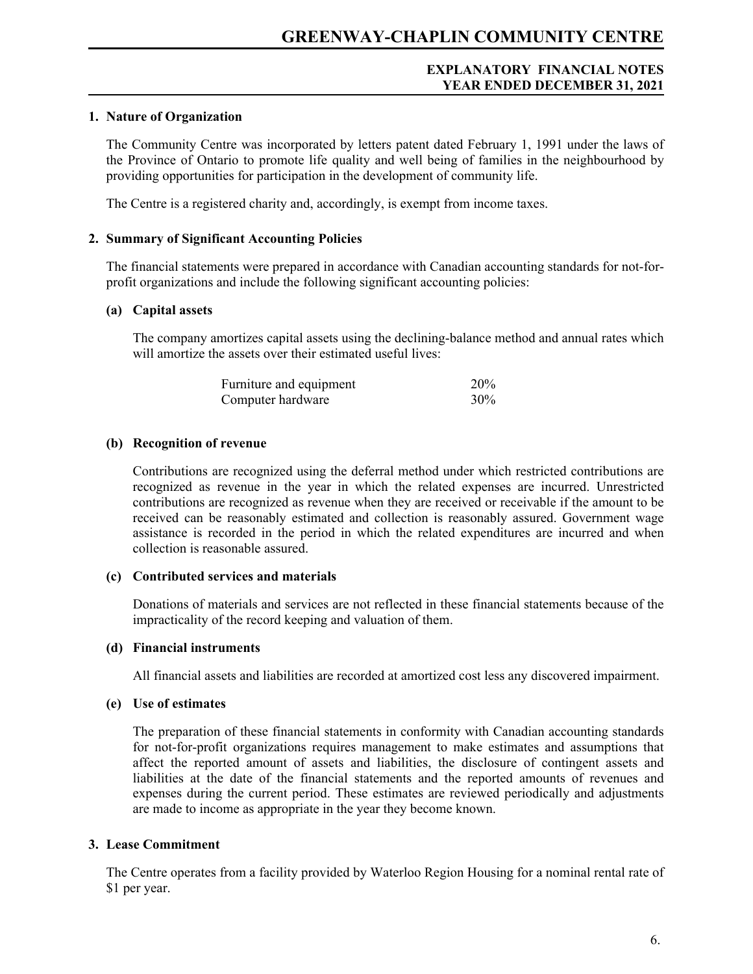## **EXPLANATORY FINANCIAL NOTES YEAR ENDED DECEMBER 31, 2021**

## **1. Nature of Organization**

The Community Centre was incorporated by letters patent dated February 1, 1991 under the laws of the Province of Ontario to promote life quality and well being of families in the neighbourhood by providing opportunities for participation in the development of community life.

The Centre is a registered charity and, accordingly, is exempt from income taxes.

#### **2. Summary of Significant Accounting Policies**

The financial statements were prepared in accordance with Canadian accounting standards for not-forprofit organizations and include the following significant accounting policies:

#### **(a) Capital assets**

The company amortizes capital assets using the declining-balance method and annual rates which will amortize the assets over their estimated useful lives:

| Furniture and equipment | 20%    |
|-------------------------|--------|
| Computer hardware       | $30\%$ |

#### **(b) Recognition of revenue**

Contributions are recognized using the deferral method under which restricted contributions are recognized as revenue in the year in which the related expenses are incurred. Unrestricted contributions are recognized as revenue when they are received or receivable if the amount to be received can be reasonably estimated and collection is reasonably assured. Government wage assistance is recorded in the period in which the related expenditures are incurred and when collection is reasonable assured.

#### **(c) Contributed services and materials**

Donations of materials and services are not reflected in these financial statements because of the impracticality of the record keeping and valuation of them.

#### **(d) Financial instruments**

All financial assets and liabilities are recorded at amortized cost less any discovered impairment.

#### **(e) Use of estimates**

The preparation of these financial statements in conformity with Canadian accounting standards for not-for-profit organizations requires management to make estimates and assumptions that affect the reported amount of assets and liabilities, the disclosure of contingent assets and liabilities at the date of the financial statements and the reported amounts of revenues and expenses during the current period. These estimates are reviewed periodically and adjustments are made to income as appropriate in the year they become known.

#### **3. Lease Commitment**

The Centre operates from a facility provided by Waterloo Region Housing for a nominal rental rate of \$1 per year.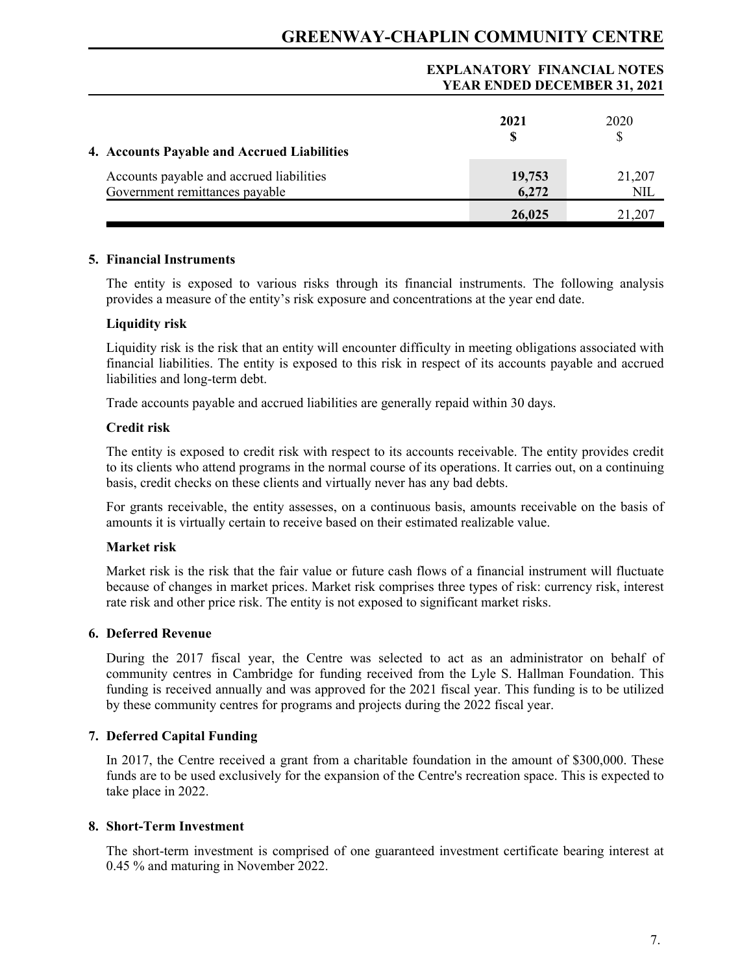| 4. Accounts Payable and Accrued Liabilities                                | 2021<br>S       | 2020<br>\$    |
|----------------------------------------------------------------------------|-----------------|---------------|
| Accounts payable and accrued liabilities<br>Government remittances payable | 19,753<br>6,272 | 21,207<br>NIL |
|                                                                            | 26,025          | 21.207        |

## **EXPLANATORY FINANCIAL NOTES YEAR ENDED DECEMBER 31, 2021**

#### **5. Financial Instruments**

The entity is exposed to various risks through its financial instruments. The following analysis provides a measure of the entity's risk exposure and concentrations at the year end date.

#### **Liquidity risk**

Liquidity risk is the risk that an entity will encounter difficulty in meeting obligations associated with financial liabilities. The entity is exposed to this risk in respect of its accounts payable and accrued liabilities and long-term debt.

Trade accounts payable and accrued liabilities are generally repaid within 30 days.

#### **Credit risk**

The entity is exposed to credit risk with respect to its accounts receivable. The entity provides credit to its clients who attend programs in the normal course of its operations. It carries out, on a continuing basis, credit checks on these clients and virtually never has any bad debts.

For grants receivable, the entity assesses, on a continuous basis, amounts receivable on the basis of amounts it is virtually certain to receive based on their estimated realizable value.

## **Market risk**

Market risk is the risk that the fair value or future cash flows of a financial instrument will fluctuate because of changes in market prices. Market risk comprises three types of risk: currency risk, interest rate risk and other price risk. The entity is not exposed to significant market risks.

#### **6. Deferred Revenue**

During the 2017 fiscal year, the Centre was selected to act as an administrator on behalf of community centres in Cambridge for funding received from the Lyle S. Hallman Foundation. This funding is received annually and was approved for the 2021 fiscal year. This funding is to be utilized by these community centres for programs and projects during the 2022 fiscal year.

## **7. Deferred Capital Funding**

In 2017, the Centre received a grant from a charitable foundation in the amount of \$300,000. These funds are to be used exclusively for the expansion of the Centre's recreation space. This is expected to take place in 2022.

## **8. Short-Term Investment**

The short-term investment is comprised of one guaranteed investment certificate bearing interest at 0.45 % and maturing in November 2022.